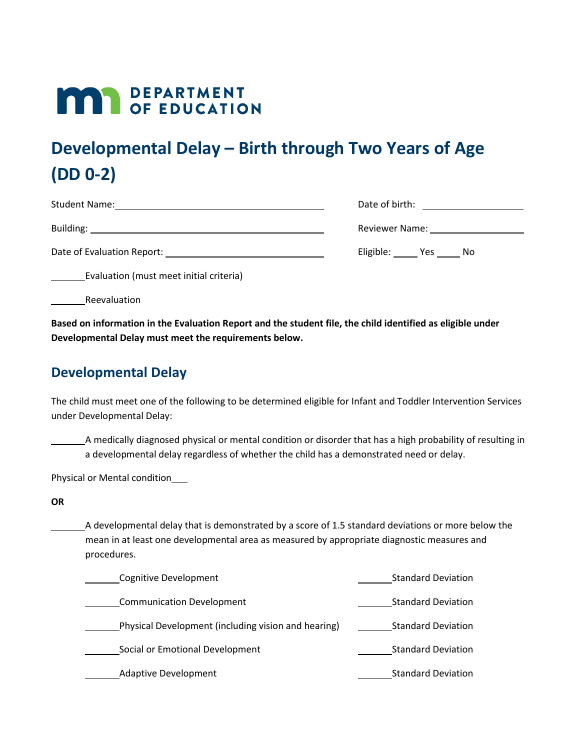## **MAY DEPARTMENT**

## **Developmental Delay – Birth through Two Years of Age (DD 0-2)**

| <b>Student Name:</b>       | Date of birth:         |
|----------------------------|------------------------|
| Building:                  | Reviewer Name:         |
| Date of Evaluation Report: | Eligible:<br>Yes<br>Νo |

Evaluation (must meet initial criteria)

Reevaluation

**Based on information in the Evaluation Report and the student file, the child identified as eligible under Developmental Delay must meet the requirements below.**

## **Developmental Delay**

The child must meet one of the following to be determined eligible for Infant and Toddler Intervention Services under Developmental Delay:

A medically diagnosed physical or mental condition or disorder that has a high probability of resulting in a developmental delay regardless of whether the child has a demonstrated need or delay.

Physical or Mental condition

**OR**

A developmental delay that is demonstrated by a score of 1.5 standard deviations or more below the mean in at least one developmental area as measured by appropriate diagnostic measures and procedures.

| Cognitive Development                               | <b>Standard Deviation</b> |
|-----------------------------------------------------|---------------------------|
| <b>Communication Development</b>                    | <b>Standard Deviation</b> |
| Physical Development (including vision and hearing) | <b>Standard Deviation</b> |
| Social or Emotional Development                     | <b>Standard Deviation</b> |
| <b>Adaptive Development</b>                         | <b>Standard Deviation</b> |